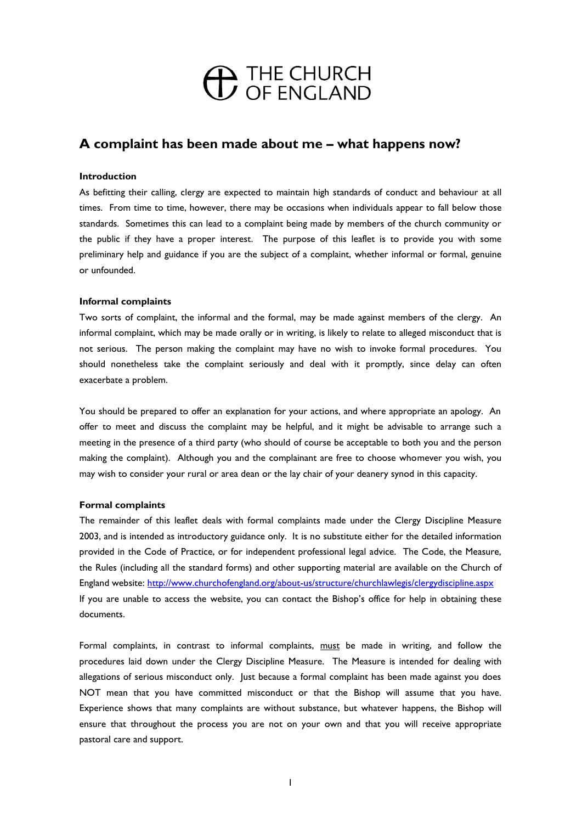# <sup>THE CHURCH</sup><br>
OF ENGLAND

# **A complaint has been made about me – what happens now?**

# **Introduction**

As befitting their calling, clergy are expected to maintain high standards of conduct and behaviour at all times. From time to time, however, there may be occasions when individuals appear to fall below those standards. Sometimes this can lead to a complaint being made by members of the church community or the public if they have a proper interest. The purpose of this leaflet is to provide you with some preliminary help and guidance if you are the subject of a complaint, whether informal or formal, genuine or unfounded.

## **Informal complaints**

Two sorts of complaint, the informal and the formal, may be made against members of the clergy. An informal complaint, which may be made orally or in writing, is likely to relate to alleged misconduct that is not serious. The person making the complaint may have no wish to invoke formal procedures. You should nonetheless take the complaint seriously and deal with it promptly, since delay can often exacerbate a problem.

You should be prepared to offer an explanation for your actions, and where appropriate an apology. An offer to meet and discuss the complaint may be helpful, and it might be advisable to arrange such a meeting in the presence of a third party (who should of course be acceptable to both you and the person making the complaint). Although you and the complainant are free to choose whomever you wish, you may wish to consider your rural or area dean or the lay chair of your deanery synod in this capacity.

## **Formal complaints**

The remainder of this leaflet deals with formal complaints made under the Clergy Discipline Measure 2003, and is intended as introductory guidance only. It is no substitute either for the detailed information provided in the Code of Practice, or for independent professional legal advice. The Code, the Measure, the Rules (including all the standard forms) and other supporting material are available on the Church of England website: <http://www.churchofengland.org/about-us/structure/churchlawlegis/clergydiscipline.aspx> If you are unable to access the website, you can contact the Bishop's office for help in obtaining these documents.

Formal complaints, in contrast to informal complaints, must be made in writing, and follow the procedures laid down under the Clergy Discipline Measure. The Measure is intended for dealing with allegations of serious misconduct only. Just because a formal complaint has been made against you does NOT mean that you have committed misconduct or that the Bishop will assume that you have. Experience shows that many complaints are without substance, but whatever happens, the Bishop will ensure that throughout the process you are not on your own and that you will receive appropriate pastoral care and support.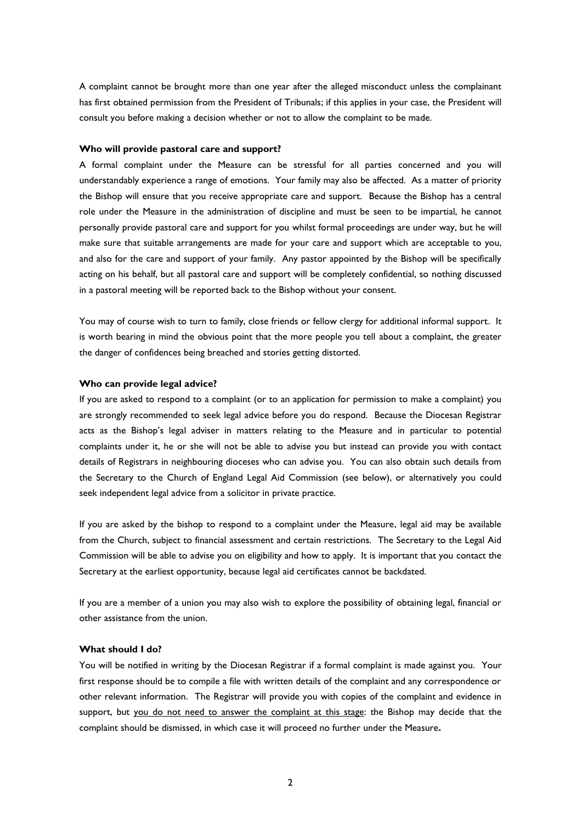A complaint cannot be brought more than one year after the alleged misconduct unless the complainant has first obtained permission from the President of Tribunals; if this applies in your case, the President will consult you before making a decision whether or not to allow the complaint to be made.

#### **Who will provide pastoral care and support?**

A formal complaint under the Measure can be stressful for all parties concerned and you will understandably experience a range of emotions. Your family may also be affected. As a matter of priority the Bishop will ensure that you receive appropriate care and support. Because the Bishop has a central role under the Measure in the administration of discipline and must be seen to be impartial, he cannot personally provide pastoral care and support for you whilst formal proceedings are under way, but he will make sure that suitable arrangements are made for your care and support which are acceptable to you, and also for the care and support of your family. Any pastor appointed by the Bishop will be specifically acting on his behalf, but all pastoral care and support will be completely confidential, so nothing discussed in a pastoral meeting will be reported back to the Bishop without your consent.

You may of course wish to turn to family, close friends or fellow clergy for additional informal support. It is worth bearing in mind the obvious point that the more people you tell about a complaint, the greater the danger of confidences being breached and stories getting distorted.

#### **Who can provide legal advice?**

If you are asked to respond to a complaint (or to an application for permission to make a complaint) you are strongly recommended to seek legal advice before you do respond. Because the Diocesan Registrar acts as the Bishop's legal adviser in matters relating to the Measure and in particular to potential complaints under it, he or she will not be able to advise you but instead can provide you with contact details of Registrars in neighbouring dioceses who can advise you. You can also obtain such details from the Secretary to the Church of England Legal Aid Commission (see below), or alternatively you could seek independent legal advice from a solicitor in private practice.

If you are asked by the bishop to respond to a complaint under the Measure, legal aid may be available from the Church, subject to financial assessment and certain restrictions. The Secretary to the Legal Aid Commission will be able to advise you on eligibility and how to apply. It is important that you contact the Secretary at the earliest opportunity, because legal aid certificates cannot be backdated.

If you are a member of a union you may also wish to explore the possibility of obtaining legal, financial or other assistance from the union.

#### **What should I do?**

You will be notified in writing by the Diocesan Registrar if a formal complaint is made against you. Your first response should be to compile a file with written details of the complaint and any correspondence or other relevant information. The Registrar will provide you with copies of the complaint and evidence in support, but you do not need to answer the complaint at this stage: the Bishop may decide that the complaint should be dismissed, in which case it will proceed no further under the Measure**.**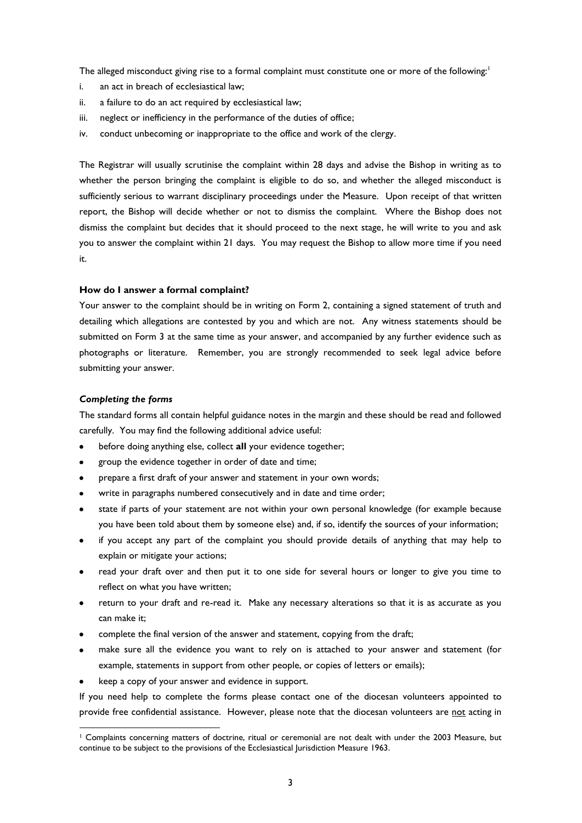The alleged misconduct giving rise to a formal complaint must constitute one or more of the following:<sup>1</sup>

- i. an act in breach of ecclesiastical law;
- ii. a failure to do an act required by ecclesiastical law;
- iii. neglect or inefficiency in the performance of the duties of office;
- iv. conduct unbecoming or inappropriate to the office and work of the clergy.

The Registrar will usually scrutinise the complaint within 28 days and advise the Bishop in writing as to whether the person bringing the complaint is eligible to do so, and whether the alleged misconduct is sufficiently serious to warrant disciplinary proceedings under the Measure. Upon receipt of that written report, the Bishop will decide whether or not to dismiss the complaint. Where the Bishop does not dismiss the complaint but decides that it should proceed to the next stage, he will write to you and ask you to answer the complaint within 21 days. You may request the Bishop to allow more time if you need it.

#### **How do I answer a formal complaint?**

Your answer to the complaint should be in writing on Form 2, containing a signed statement of truth and detailing which allegations are contested by you and which are not. Any witness statements should be submitted on Form 3 at the same time as your answer, and accompanied by any further evidence such as photographs or literature. Remember, you are strongly recommended to seek legal advice before submitting your answer.

#### *Completing the forms*

l

The standard forms all contain helpful guidance notes in the margin and these should be read and followed carefully. You may find the following additional advice useful:

- before doing anything else, collect **all** your evidence together;
- group the evidence together in order of date and time;
- prepare a first draft of your answer and statement in your own words;
- write in paragraphs numbered consecutively and in date and time order;
- state if parts of your statement are not within your own personal knowledge (for example because you have been told about them by someone else) and, if so, identify the sources of your information;
- if you accept any part of the complaint you should provide details of anything that may help to explain or mitigate your actions;
- read your draft over and then put it to one side for several hours or longer to give you time to reflect on what you have written;
- return to your draft and re-read it. Make any necessary alterations so that it is as accurate as you can make it;
- complete the final version of the answer and statement, copying from the draft;
- make sure all the evidence you want to rely on is attached to your answer and statement (for example, statements in support from other people, or copies of letters or emails);
- keep a copy of your answer and evidence in support.

If you need help to complete the forms please contact one of the diocesan volunteers appointed to provide free confidential assistance. However, please note that the diocesan volunteers are not acting in

<sup>&</sup>lt;sup>1</sup> Complaints concerning matters of doctrine, ritual or ceremonial are not dealt with under the 2003 Measure, but continue to be subject to the provisions of the Ecclesiastical Jurisdiction Measure 1963.